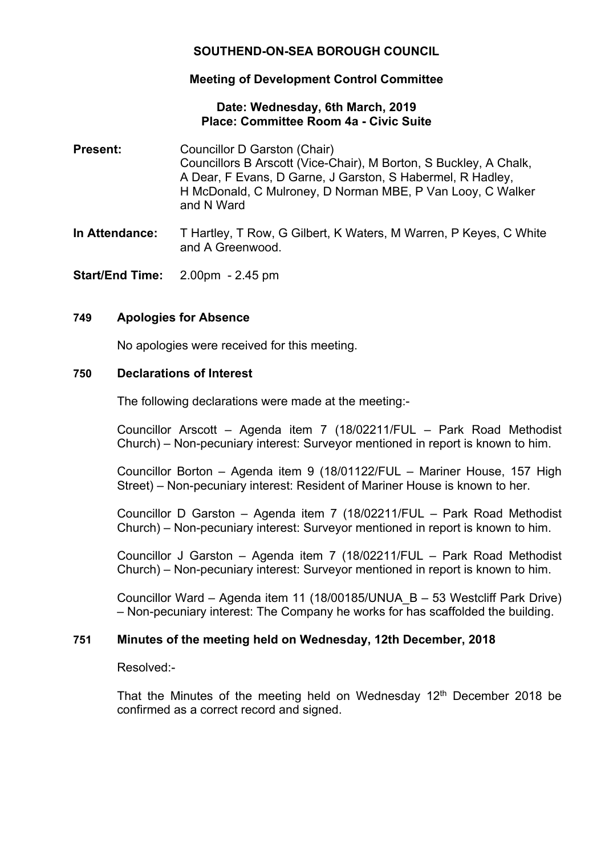# **SOUTHEND-ON-SEA BOROUGH COUNCIL**

## **Meeting of Development Control Committee**

## **Date: Wednesday, 6th March, 2019 Place: Committee Room 4a - Civic Suite**

- **Present:** Councillor D Garston (Chair) Councillors B Arscott (Vice-Chair), M Borton, S Buckley, A Chalk, A Dear, F Evans, D Garne, J Garston, S Habermel, R Hadley, H McDonald, C Mulroney, D Norman MBE, P Van Looy, C Walker and N Ward
- **In Attendance:** T Hartley, T Row, G Gilbert, K Waters, M Warren, P Keyes, C White and A Greenwood.
- **Start/End Time:** 2.00pm 2.45 pm

## **749 Apologies for Absence**

No apologies were received for this meeting.

### **750 Declarations of Interest**

The following declarations were made at the meeting:-

Councillor Arscott – Agenda item 7 (18/02211/FUL – Park Road Methodist Church) – Non-pecuniary interest: Surveyor mentioned in report is known to him.

Councillor Borton – Agenda item 9 (18/01122/FUL – Mariner House, 157 High Street) – Non-pecuniary interest: Resident of Mariner House is known to her.

Councillor D Garston – Agenda item 7 (18/02211/FUL – Park Road Methodist Church) – Non-pecuniary interest: Surveyor mentioned in report is known to him.

Councillor J Garston – Agenda item 7 (18/02211/FUL – Park Road Methodist Church) – Non-pecuniary interest: Surveyor mentioned in report is known to him.

Councillor Ward – Agenda item 11 (18/00185/UNUA\_B – 53 Westcliff Park Drive) – Non-pecuniary interest: The Company he works for has scaffolded the building.

## **751 Minutes of the meeting held on Wednesday, 12th December, 2018**

Resolved:-

That the Minutes of the meeting held on Wednesday  $12<sup>th</sup>$  December 2018 be confirmed as a correct record and signed.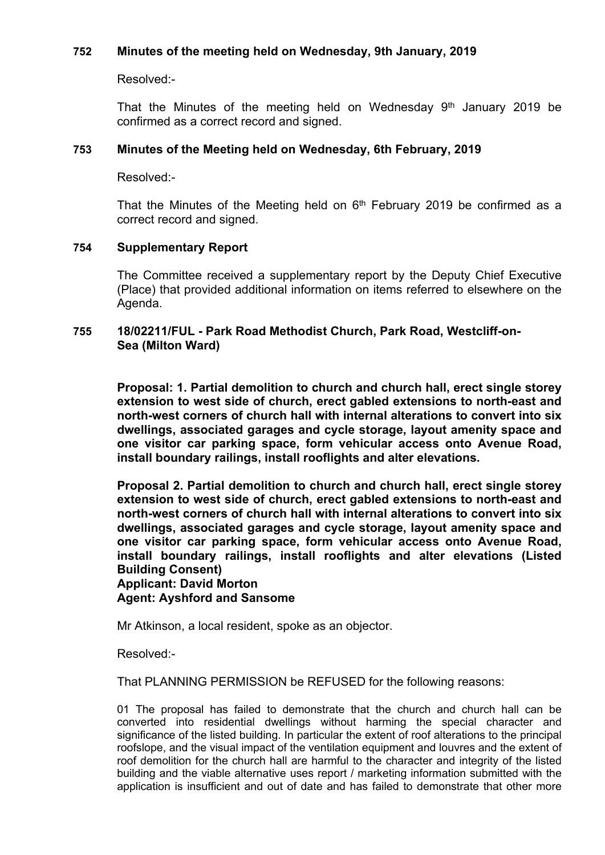## **752 Minutes of the meeting held on Wednesday, 9th January, 2019**

Resolved:-

That the Minutes of the meeting held on Wednesday  $9<sup>th</sup>$  January 2019 be confirmed as a correct record and signed.

## **753 Minutes of the Meeting held on Wednesday, 6th February, 2019**

Resolved:-

That the Minutes of the Meeting held on  $6<sup>th</sup>$  February 2019 be confirmed as a correct record and signed.

## **754 Supplementary Report**

The Committee received a supplementary report by the Deputy Chief Executive (Place) that provided additional information on items referred to elsewhere on the Agenda.

## **755 18/02211/FUL - Park Road Methodist Church, Park Road, Westcliff-on-Sea (Milton Ward)**

**Proposal: 1. Partial demolition to church and church hall, erect single storey extension to west side of church, erect gabled extensions to north-east and north-west corners of church hall with internal alterations to convert into six dwellings, associated garages and cycle storage, layout amenity space and one visitor car parking space, form vehicular access onto Avenue Road, install boundary railings, install rooflights and alter elevations.**

**Proposal 2. Partial demolition to church and church hall, erect single storey extension to west side of church, erect gabled extensions to north-east and north-west corners of church hall with internal alterations to convert into six dwellings, associated garages and cycle storage, layout amenity space and one visitor car parking space, form vehicular access onto Avenue Road, install boundary railings, install rooflights and alter elevations (Listed Building Consent)**

#### **Applicant: David Morton Agent: Ayshford and Sansome**

Mr Atkinson, a local resident, spoke as an objector.

Resolved:-

That PLANNING PERMISSION be REFUSED for the following reasons:

01 The proposal has failed to demonstrate that the church and church hall can be converted into residential dwellings without harming the special character and significance of the listed building. In particular the extent of roof alterations to the principal roofslope, and the visual impact of the ventilation equipment and louvres and the extent of roof demolition for the church hall are harmful to the character and integrity of the listed building and the viable alternative uses report / marketing information submitted with the application is insufficient and out of date and has failed to demonstrate that other more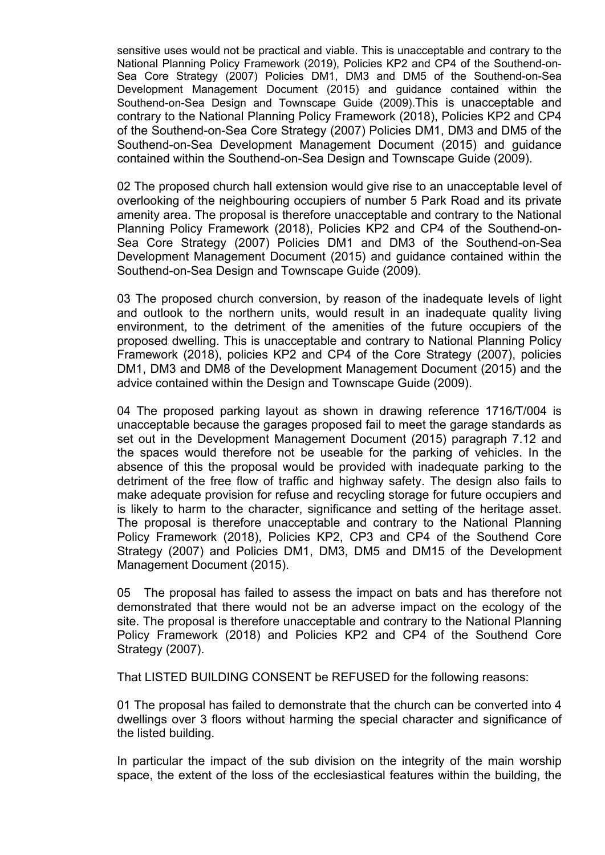sensitive uses would not be practical and viable. This is unacceptable and contrary to the National Planning Policy Framework (2019), Policies KP2 and CP4 of the Southend-on-Sea Core Strategy (2007) Policies DM1, DM3 and DM5 of the Southend-on-Sea Development Management Document (2015) and guidance contained within the Southend-on-Sea Design and Townscape Guide (2009).This is unacceptable and contrary to the National Planning Policy Framework (2018), Policies KP2 and CP4 of the Southend-on-Sea Core Strategy (2007) Policies DM1, DM3 and DM5 of the Southend-on-Sea Development Management Document (2015) and guidance contained within the Southend-on-Sea Design and Townscape Guide (2009).

02 The proposed church hall extension would give rise to an unacceptable level of overlooking of the neighbouring occupiers of number 5 Park Road and its private amenity area. The proposal is therefore unacceptable and contrary to the National Planning Policy Framework (2018), Policies KP2 and CP4 of the Southend-on-Sea Core Strategy (2007) Policies DM1 and DM3 of the Southend-on-Sea Development Management Document (2015) and guidance contained within the Southend-on-Sea Design and Townscape Guide (2009).

03 The proposed church conversion, by reason of the inadequate levels of light and outlook to the northern units, would result in an inadequate quality living environment, to the detriment of the amenities of the future occupiers of the proposed dwelling. This is unacceptable and contrary to National Planning Policy Framework (2018), policies KP2 and CP4 of the Core Strategy (2007), policies DM1, DM3 and DM8 of the Development Management Document (2015) and the advice contained within the Design and Townscape Guide (2009).

04 The proposed parking layout as shown in drawing reference 1716/T/004 is unacceptable because the garages proposed fail to meet the garage standards as set out in the Development Management Document (2015) paragraph 7.12 and the spaces would therefore not be useable for the parking of vehicles. In the absence of this the proposal would be provided with inadequate parking to the detriment of the free flow of traffic and highway safety. The design also fails to make adequate provision for refuse and recycling storage for future occupiers and is likely to harm to the character, significance and setting of the heritage asset. The proposal is therefore unacceptable and contrary to the National Planning Policy Framework (2018), Policies KP2, CP3 and CP4 of the Southend Core Strategy (2007) and Policies DM1, DM3, DM5 and DM15 of the Development Management Document (2015).

05 The proposal has failed to assess the impact on bats and has therefore not demonstrated that there would not be an adverse impact on the ecology of the site. The proposal is therefore unacceptable and contrary to the National Planning Policy Framework (2018) and Policies KP2 and CP4 of the Southend Core Strategy (2007).

That LISTED BUILDING CONSENT be REFUSED for the following reasons:

01 The proposal has failed to demonstrate that the church can be converted into 4 dwellings over 3 floors without harming the special character and significance of the listed building.

In particular the impact of the sub division on the integrity of the main worship space, the extent of the loss of the ecclesiastical features within the building, the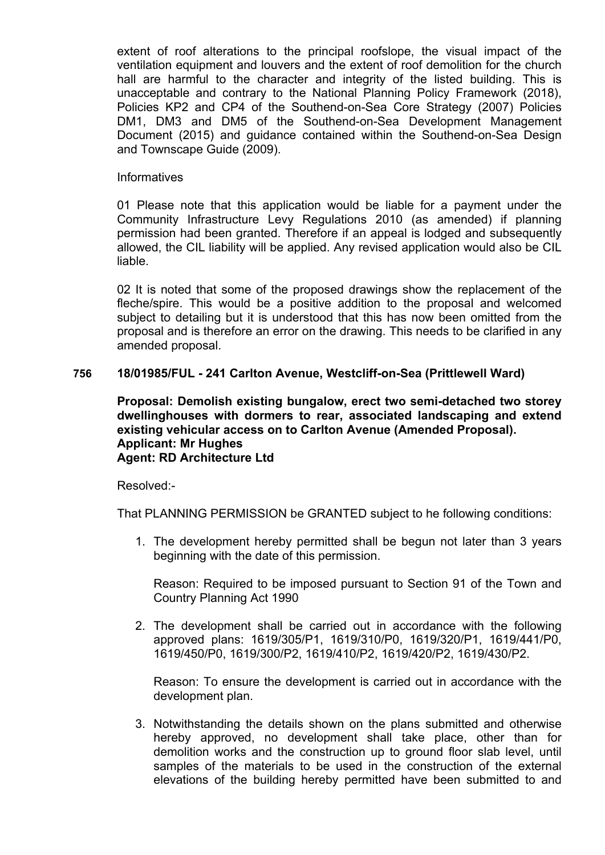extent of roof alterations to the principal roofslope, the visual impact of the ventilation equipment and louvers and the extent of roof demolition for the church hall are harmful to the character and integrity of the listed building. This is unacceptable and contrary to the National Planning Policy Framework (2018), Policies KP2 and CP4 of the Southend-on-Sea Core Strategy (2007) Policies DM1, DM3 and DM5 of the Southend-on-Sea Development Management Document (2015) and guidance contained within the Southend-on-Sea Design and Townscape Guide (2009).

### Informatives

01 Please note that this application would be liable for a payment under the Community Infrastructure Levy Regulations 2010 (as amended) if planning permission had been granted. Therefore if an appeal is lodged and subsequently allowed, the CIL liability will be applied. Any revised application would also be CIL liable.

02 It is noted that some of the proposed drawings show the replacement of the fleche/spire. This would be a positive addition to the proposal and welcomed subject to detailing but it is understood that this has now been omitted from the proposal and is therefore an error on the drawing. This needs to be clarified in any amended proposal.

## **756 18/01985/FUL - 241 Carlton Avenue, Westcliff-on-Sea (Prittlewell Ward)**

**Proposal: Demolish existing bungalow, erect two semi-detached two storey dwellinghouses with dormers to rear, associated landscaping and extend existing vehicular access on to Carlton Avenue (Amended Proposal). Applicant: Mr Hughes Agent: RD Architecture Ltd**

Resolved:-

That PLANNING PERMISSION be GRANTED subject to he following conditions:

1. The development hereby permitted shall be begun not later than 3 years beginning with the date of this permission.

Reason: Required to be imposed pursuant to Section 91 of the Town and Country Planning Act 1990

2. The development shall be carried out in accordance with the following approved plans: 1619/305/P1, 1619/310/P0, 1619/320/P1, 1619/441/P0, 1619/450/P0, 1619/300/P2, 1619/410/P2, 1619/420/P2, 1619/430/P2.

Reason: To ensure the development is carried out in accordance with the development plan.

3. Notwithstanding the details shown on the plans submitted and otherwise hereby approved, no development shall take place, other than for demolition works and the construction up to ground floor slab level, until samples of the materials to be used in the construction of the external elevations of the building hereby permitted have been submitted to and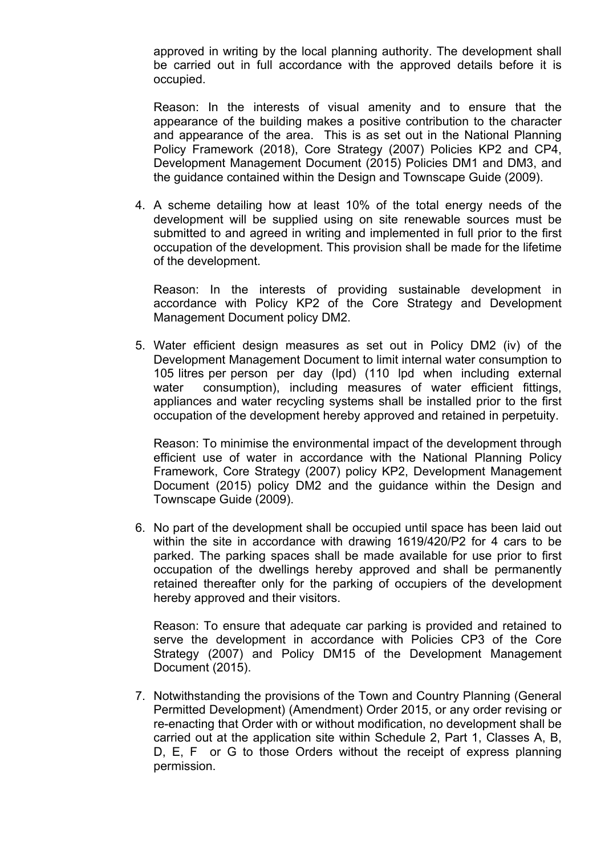approved in writing by the local planning authority. The development shall be carried out in full accordance with the approved details before it is occupied.

Reason: In the interests of visual amenity and to ensure that the appearance of the building makes a positive contribution to the character and appearance of the area. This is as set out in the National Planning Policy Framework (2018), Core Strategy (2007) Policies KP2 and CP4, Development Management Document (2015) Policies DM1 and DM3, and the guidance contained within the Design and Townscape Guide (2009).

4. A scheme detailing how at least 10% of the total energy needs of the development will be supplied using on site renewable sources must be submitted to and agreed in writing and implemented in full prior to the first occupation of the development. This provision shall be made for the lifetime of the development.

Reason: In the interests of providing sustainable development in accordance with Policy KP2 of the Core Strategy and Development Management Document policy DM2.

5. Water efficient design measures as set out in Policy DM2 (iv) of the Development Management Document to limit internal water consumption to 105 litres per person per day (lpd) (110 lpd when including external water consumption), including measures of water efficient fittings, appliances and water recycling systems shall be installed prior to the first occupation of the development hereby approved and retained in perpetuity.

Reason: To minimise the environmental impact of the development through efficient use of water in accordance with the National Planning Policy Framework, Core Strategy (2007) policy KP2, Development Management Document (2015) policy DM2 and the guidance within the Design and Townscape Guide (2009).

6. No part of the development shall be occupied until space has been laid out within the site in accordance with drawing 1619/420/P2 for 4 cars to be parked. The parking spaces shall be made available for use prior to first occupation of the dwellings hereby approved and shall be permanently retained thereafter only for the parking of occupiers of the development hereby approved and their visitors.

Reason: To ensure that adequate car parking is provided and retained to serve the development in accordance with Policies CP3 of the Core Strategy (2007) and Policy DM15 of the Development Management Document (2015).

7. Notwithstanding the provisions of the Town and Country Planning (General Permitted Development) (Amendment) Order 2015, or any order revising or re-enacting that Order with or without modification, no development shall be carried out at the application site within Schedule 2, Part 1, Classes A, B, D, E, F or G to those Orders without the receipt of express planning permission.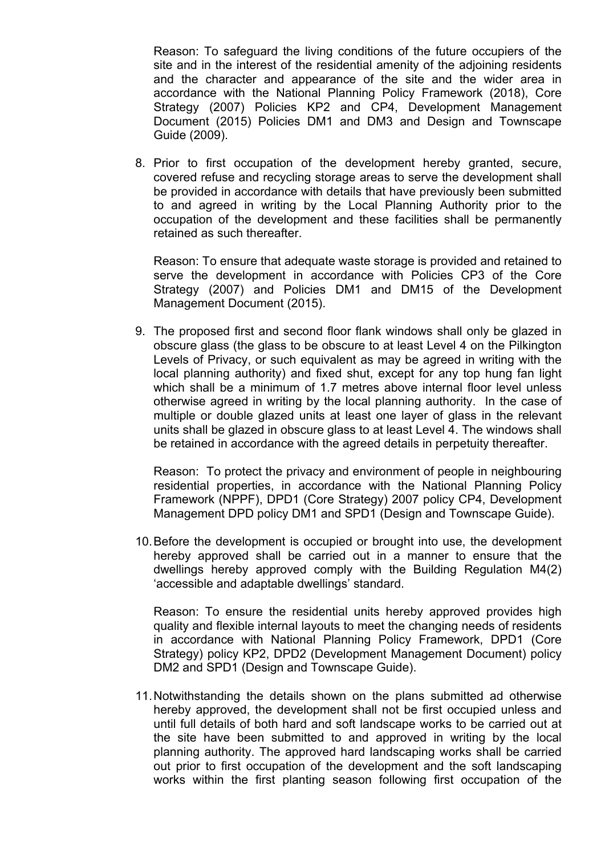Reason: To safeguard the living conditions of the future occupiers of the site and in the interest of the residential amenity of the adjoining residents and the character and appearance of the site and the wider area in accordance with the National Planning Policy Framework (2018), Core Strategy (2007) Policies KP2 and CP4, Development Management Document (2015) Policies DM1 and DM3 and Design and Townscape Guide (2009).

8. Prior to first occupation of the development hereby granted, secure, covered refuse and recycling storage areas to serve the development shall be provided in accordance with details that have previously been submitted to and agreed in writing by the Local Planning Authority prior to the occupation of the development and these facilities shall be permanently retained as such thereafter.

Reason: To ensure that adequate waste storage is provided and retained to serve the development in accordance with Policies CP3 of the Core Strategy (2007) and Policies DM1 and DM15 of the Development Management Document (2015).

9. The proposed first and second floor flank windows shall only be glazed in obscure glass (the glass to be obscure to at least Level 4 on the Pilkington Levels of Privacy, or such equivalent as may be agreed in writing with the local planning authority) and fixed shut, except for any top hung fan light which shall be a minimum of 1.7 metres above internal floor level unless otherwise agreed in writing by the local planning authority. In the case of multiple or double glazed units at least one layer of glass in the relevant units shall be glazed in obscure glass to at least Level 4. The windows shall be retained in accordance with the agreed details in perpetuity thereafter.

Reason: To protect the privacy and environment of people in neighbouring residential properties, in accordance with the National Planning Policy Framework (NPPF), DPD1 (Core Strategy) 2007 policy CP4, Development Management DPD policy DM1 and SPD1 (Design and Townscape Guide).

10.Before the development is occupied or brought into use, the development hereby approved shall be carried out in a manner to ensure that the dwellings hereby approved comply with the Building Regulation M4(2) 'accessible and adaptable dwellings' standard.

Reason: To ensure the residential units hereby approved provides high quality and flexible internal layouts to meet the changing needs of residents in accordance with National Planning Policy Framework, DPD1 (Core Strategy) policy KP2, DPD2 (Development Management Document) policy DM2 and SPD1 (Design and Townscape Guide).

11.Notwithstanding the details shown on the plans submitted ad otherwise hereby approved, the development shall not be first occupied unless and until full details of both hard and soft landscape works to be carried out at the site have been submitted to and approved in writing by the local planning authority. The approved hard landscaping works shall be carried out prior to first occupation of the development and the soft landscaping works within the first planting season following first occupation of the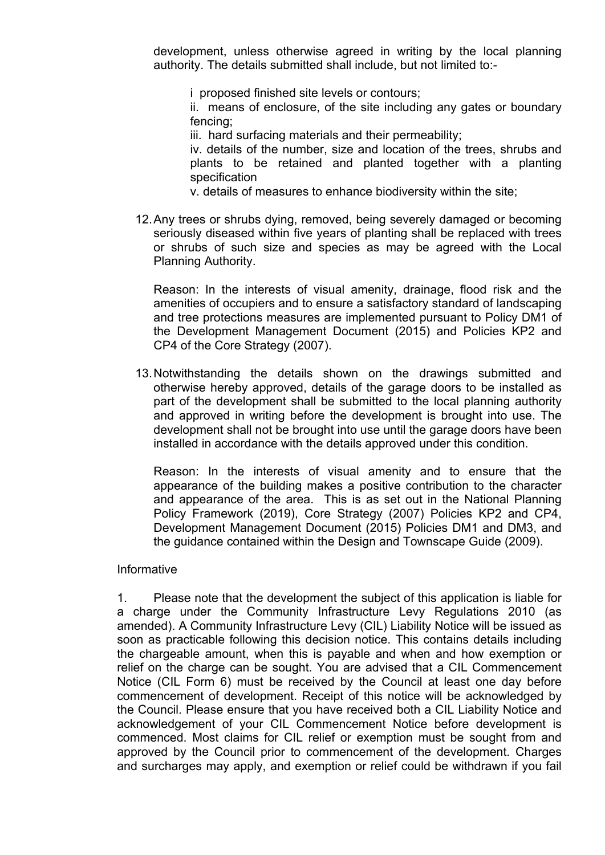development, unless otherwise agreed in writing by the local planning authority. The details submitted shall include, but not limited to:-

i proposed finished site levels or contours;

ii. means of enclosure, of the site including any gates or boundary fencing;

iii. hard surfacing materials and their permeability;

iv. details of the number, size and location of the trees, shrubs and plants to be retained and planted together with a planting specification

v. details of measures to enhance biodiversity within the site;

12.Any trees or shrubs dying, removed, being severely damaged or becoming seriously diseased within five years of planting shall be replaced with trees or shrubs of such size and species as may be agreed with the Local Planning Authority.

Reason: In the interests of visual amenity, drainage, flood risk and the amenities of occupiers and to ensure a satisfactory standard of landscaping and tree protections measures are implemented pursuant to Policy DM1 of the Development Management Document (2015) and Policies KP2 and CP4 of the Core Strategy (2007).

13.Notwithstanding the details shown on the drawings submitted and otherwise hereby approved, details of the garage doors to be installed as part of the development shall be submitted to the local planning authority and approved in writing before the development is brought into use. The development shall not be brought into use until the garage doors have been installed in accordance with the details approved under this condition.

Reason: In the interests of visual amenity and to ensure that the appearance of the building makes a positive contribution to the character and appearance of the area. This is as set out in the National Planning Policy Framework (2019), Core Strategy (2007) Policies KP2 and CP4, Development Management Document (2015) Policies DM1 and DM3, and the guidance contained within the Design and Townscape Guide (2009).

### Informative

1. Please note that the development the subject of this application is liable for a charge under the Community Infrastructure Levy Regulations 2010 (as amended). A Community Infrastructure Levy (CIL) Liability Notice will be issued as soon as practicable following this decision notice. This contains details including the chargeable amount, when this is payable and when and how exemption or relief on the charge can be sought. You are advised that a CIL Commencement Notice (CIL Form 6) must be received by the Council at least one day before commencement of development. Receipt of this notice will be acknowledged by the Council. Please ensure that you have received both a CIL Liability Notice and acknowledgement of your CIL Commencement Notice before development is commenced. Most claims for CIL relief or exemption must be sought from and approved by the Council prior to commencement of the development. Charges and surcharges may apply, and exemption or relief could be withdrawn if you fail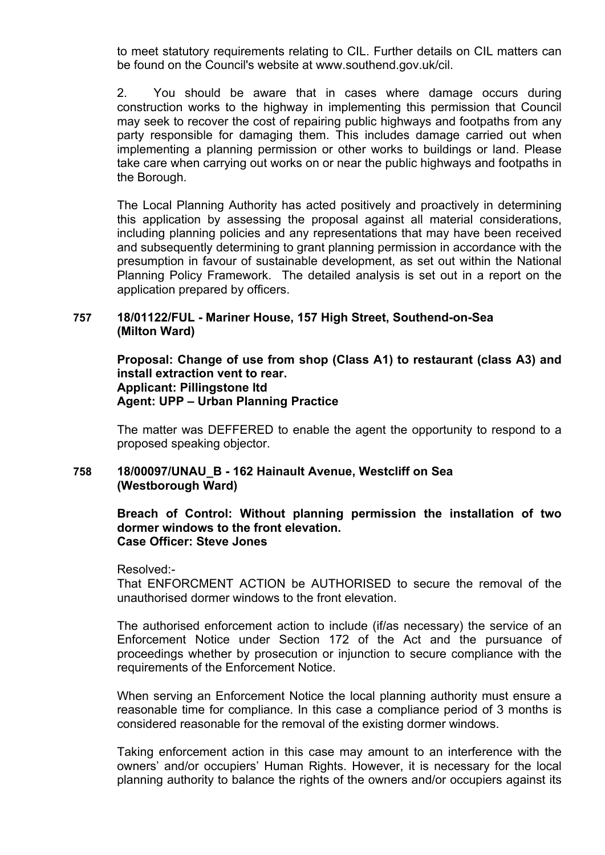to meet statutory requirements relating to CIL. Further details on CIL matters can be found on the Council's website at www.southend.gov.uk/cil.

2. You should be aware that in cases where damage occurs during construction works to the highway in implementing this permission that Council may seek to recover the cost of repairing public highways and footpaths from any party responsible for damaging them. This includes damage carried out when implementing a planning permission or other works to buildings or land. Please take care when carrying out works on or near the public highways and footpaths in the Borough.

The Local Planning Authority has acted positively and proactively in determining this application by assessing the proposal against all material considerations, including planning policies and any representations that may have been received and subsequently determining to grant planning permission in accordance with the presumption in favour of sustainable development, as set out within the National Planning Policy Framework. The detailed analysis is set out in a report on the application prepared by officers.

## **757 18/01122/FUL - Mariner House, 157 High Street, Southend-on-Sea (Milton Ward)**

**Proposal: Change of use from shop (Class A1) to restaurant (class A3) and install extraction vent to rear. Applicant: Pillingstone ltd Agent: UPP – Urban Planning Practice**

The matter was DEFFERED to enable the agent the opportunity to respond to a proposed speaking objector.

## **758 18/00097/UNAU\_B - 162 Hainault Avenue, Westcliff on Sea (Westborough Ward)**

### **Breach of Control: Without planning permission the installation of two dormer windows to the front elevation. Case Officer: Steve Jones**

Resolved:-

That ENFORCMENT ACTION be AUTHORISED to secure the removal of the unauthorised dormer windows to the front elevation.

The authorised enforcement action to include (if/as necessary) the service of an Enforcement Notice under Section 172 of the Act and the pursuance of proceedings whether by prosecution or injunction to secure compliance with the requirements of the Enforcement Notice.

When serving an Enforcement Notice the local planning authority must ensure a reasonable time for compliance. In this case a compliance period of 3 months is considered reasonable for the removal of the existing dormer windows.

Taking enforcement action in this case may amount to an interference with the owners' and/or occupiers' Human Rights. However, it is necessary for the local planning authority to balance the rights of the owners and/or occupiers against its